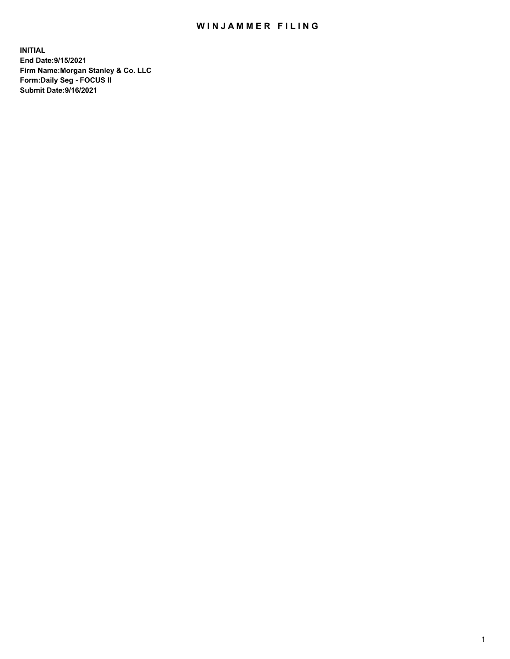## WIN JAMMER FILING

**INITIAL End Date:9/15/2021 Firm Name:Morgan Stanley & Co. LLC Form:Daily Seg - FOCUS II Submit Date:9/16/2021**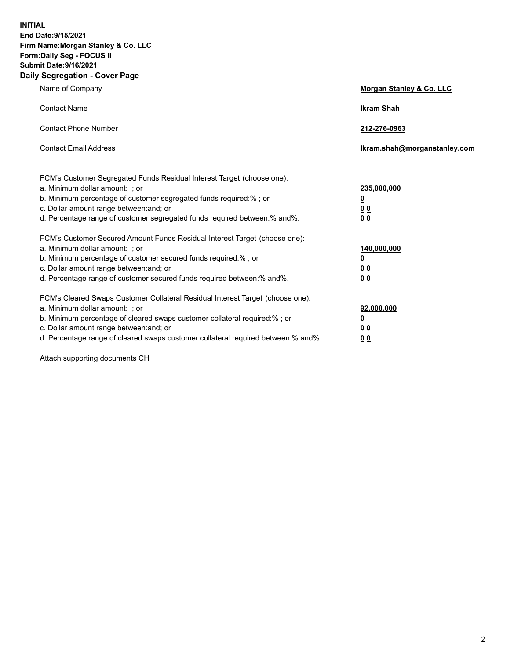**INITIAL End Date:9/15/2021 Firm Name:Morgan Stanley & Co. LLC Form:Daily Seg - FOCUS II Submit Date:9/16/2021 Daily Segregation - Cover Page**

| Name of Company                                                                                                                                                                                                                                                                                                                | <b>Morgan Stanley &amp; Co. LLC</b>                    |
|--------------------------------------------------------------------------------------------------------------------------------------------------------------------------------------------------------------------------------------------------------------------------------------------------------------------------------|--------------------------------------------------------|
| <b>Contact Name</b>                                                                                                                                                                                                                                                                                                            | <b>Ikram Shah</b>                                      |
| <b>Contact Phone Number</b>                                                                                                                                                                                                                                                                                                    | 212-276-0963                                           |
| <b>Contact Email Address</b>                                                                                                                                                                                                                                                                                                   | Ikram.shah@morganstanley.com                           |
| FCM's Customer Segregated Funds Residual Interest Target (choose one):<br>a. Minimum dollar amount: ; or<br>b. Minimum percentage of customer segregated funds required:% ; or<br>c. Dollar amount range between: and; or<br>d. Percentage range of customer segregated funds required between:% and%.                         | 235,000,000<br><u>0</u><br>0 Q<br>0 Q                  |
| FCM's Customer Secured Amount Funds Residual Interest Target (choose one):<br>a. Minimum dollar amount: ; or<br>b. Minimum percentage of customer secured funds required:% ; or<br>c. Dollar amount range between: and; or<br>d. Percentage range of customer secured funds required between: % and %.                         | 140,000,000<br><u>0</u><br><u>00</u><br>0 <sub>0</sub> |
| FCM's Cleared Swaps Customer Collateral Residual Interest Target (choose one):<br>a. Minimum dollar amount: ; or<br>b. Minimum percentage of cleared swaps customer collateral required:% ; or<br>c. Dollar amount range between: and; or<br>d. Percentage range of cleared swaps customer collateral required between:% and%. | 92,000,000<br><u>0</u><br>0 Q<br>00                    |

Attach supporting documents CH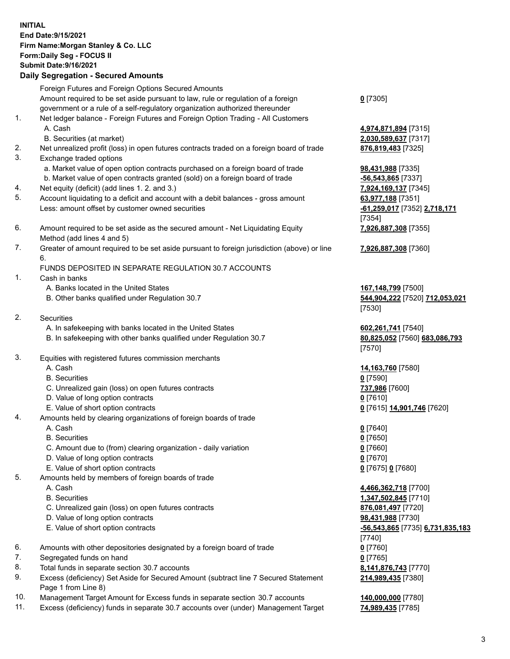## **INITIAL End Date:9/15/2021 Firm Name:Morgan Stanley & Co. LLC Form:Daily Seg - FOCUS II Submit Date:9/16/2021**

**Daily Segregation - Secured Amounts** Foreign Futures and Foreign Options Secured Amounts Amount required to be set aside pursuant to law, rule or regulation of a foreign government or a rule of a self-regulatory organization authorized thereunder 1. Net ledger balance - Foreign Futures and Foreign Option Trading - All Customers A. Cash **4,974,871,894** [7315] B. Securities (at market) **2,030,589,637** [7317] 2. Net unrealized profit (loss) in open futures contracts traded on a foreign board of trade **876,819,483** [7325] 3. Exchange traded options a. Market value of open option contracts purchased on a foreign board of trade **98,431,988** [7335] b. Market value of open contracts granted (sold) on a foreign board of trade **-56,543,865** [7337] 4. Net equity (deficit) (add lines 1. 2. and 3.) **7,924,169,137** [7345] 5. Account liquidating to a deficit and account with a debit balances - gross amount **63,977,188** [7351] Less: amount offset by customer owned securities **-61,259,017** [7352] **2,718,171** 6. Amount required to be set aside as the secured amount - Net Liquidating Equity Method (add lines 4 and 5) 7. Greater of amount required to be set aside pursuant to foreign jurisdiction (above) or line 6. FUNDS DEPOSITED IN SEPARATE REGULATION 30.7 ACCOUNTS 1. Cash in banks A. Banks located in the United States **167,148,799** [7500] B. Other banks qualified under Regulation 30.7 **544,904,222** [7520] **712,053,021** 2. Securities A. In safekeeping with banks located in the United States **602,261,741** [7540] B. In safekeeping with other banks qualified under Regulation 30.7 **80,825,052** [7560] **683,086,793** 3. Equities with registered futures commission merchants A. Cash **14,163,760** [7580] B. Securities **0** [7590] C. Unrealized gain (loss) on open futures contracts **737,986** [7600] D. Value of long option contracts **0** [7610] E. Value of short option contracts **0** [7615] **14,901,746** [7620] 4. Amounts held by clearing organizations of foreign boards of trade A. Cash **0** [7640] B. Securities **0** [7650] C. Amount due to (from) clearing organization - daily variation **0** [7660] D. Value of long option contracts **0** [7670] E. Value of short option contracts **0** [7675] **0** [7680] 5. Amounts held by members of foreign boards of trade A. Cash **4,466,362,718** [7700] B. Securities **1,347,502,845** [7710] C. Unrealized gain (loss) on open futures contracts **876,081,497** [7720] D. Value of long option contracts **98,431,988** [7730] E. Value of short option contracts **-56,543,865** [7735] **6,731,835,183**

- 6. Amounts with other depositories designated by a foreign board of trade **0** [7760]
- 7. Segregated funds on hand **0** [7765]
- 8. Total funds in separate section 30.7 accounts **8,141,876,743** [7770]
- 9. Excess (deficiency) Set Aside for Secured Amount (subtract line 7 Secured Statement Page 1 from Line 8)
- 10. Management Target Amount for Excess funds in separate section 30.7 accounts **140,000,000** [7780]
- 11. Excess (deficiency) funds in separate 30.7 accounts over (under) Management Target **74,989,435** [7785]

**0** [7305]

[7354] **7,926,887,308** [7355]

**7,926,887,308** [7360]

[7530]

[7570]

[7740] **214,989,435** [7380]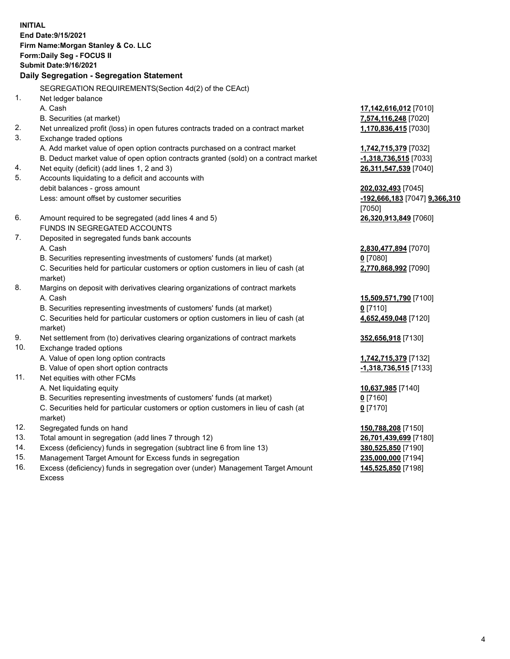**INITIAL End Date:9/15/2021 Firm Name:Morgan Stanley & Co. LLC Form:Daily Seg - FOCUS II Submit Date:9/16/2021 Daily Segregation - Segregation Statement** SEGREGATION REQUIREMENTS(Section 4d(2) of the CEAct) 1. Net ledger balance A. Cash **17,142,616,012** [7010] B. Securities (at market) **7,574,116,248** [7020] 2. Net unrealized profit (loss) in open futures contracts traded on a contract market **1,170,836,415** [7030] 3. Exchange traded options A. Add market value of open option contracts purchased on a contract market **1,742,715,379** [7032] B. Deduct market value of open option contracts granted (sold) on a contract market **-1,318,736,515** [7033] 4. Net equity (deficit) (add lines 1, 2 and 3) **26,311,547,539** [7040] 5. Accounts liquidating to a deficit and accounts with debit balances - gross amount **202,032,493** [7045] Less: amount offset by customer securities **-192,666,183** [7047] **9,366,310** [7050] 6. Amount required to be segregated (add lines 4 and 5) **26,320,913,849** [7060] FUNDS IN SEGREGATED ACCOUNTS 7. Deposited in segregated funds bank accounts A. Cash **2,830,477,894** [7070] B. Securities representing investments of customers' funds (at market) **0** [7080] C. Securities held for particular customers or option customers in lieu of cash (at market) **2,770,868,992** [7090] 8. Margins on deposit with derivatives clearing organizations of contract markets A. Cash **15,509,571,790** [7100] B. Securities representing investments of customers' funds (at market) **0** [7110] C. Securities held for particular customers or option customers in lieu of cash (at market) **4,652,459,048** [7120] 9. Net settlement from (to) derivatives clearing organizations of contract markets **352,656,918** [7130] 10. Exchange traded options A. Value of open long option contracts **1,742,715,379** [7132] B. Value of open short option contracts **-1,318,736,515** [7133] 11. Net equities with other FCMs A. Net liquidating equity **10,637,985** [7140] B. Securities representing investments of customers' funds (at market) **0** [7160] C. Securities held for particular customers or option customers in lieu of cash (at market) **0** [7170] 12. Segregated funds on hand **150,788,208** [7150] 13. Total amount in segregation (add lines 7 through 12) **26,701,439,699** [7180] 14. Excess (deficiency) funds in segregation (subtract line 6 from line 13) **380,525,850** [7190] 15. Management Target Amount for Excess funds in segregation **235,000,000** [7194]

16. Excess (deficiency) funds in segregation over (under) Management Target Amount Excess

**145,525,850** [7198]